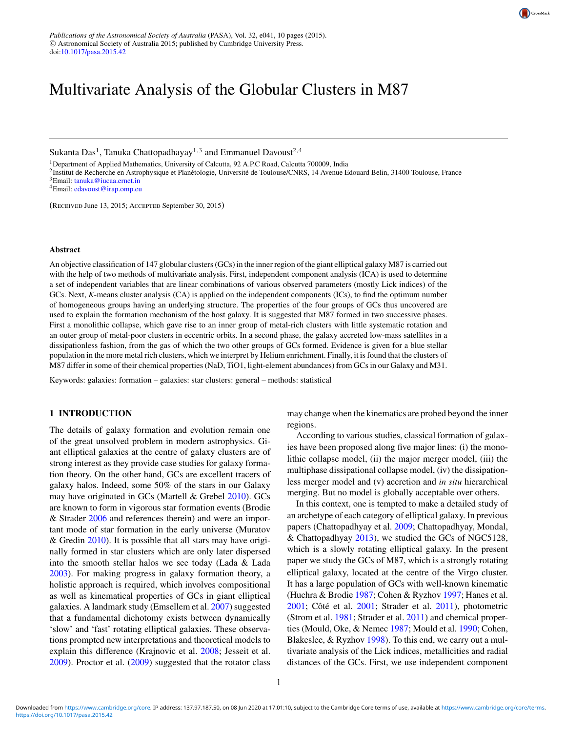# Multivariate Analysis of the Globular Clusters in M87

Sukanta Das<sup>1</sup>, Tanuka Chattopadhayay<sup>1,3</sup> and Emmanuel Davoust<sup>2,4</sup>

<sup>1</sup>Department of Applied Mathematics, University of Calcutta, 92 A.P.C Road, Calcutta 700009. India

<sup>2</sup>Institut de Recherche en Astrophysique et Planétologie, Université de Toulouse/CNRS, 14 Avenue Edouard Belin, 31400 Toulouse, France <sup>3</sup>Email: [tanuka@iucaa.ernet.in](mailto:tanuka@iucaa.ernet.in)  $4$ Email: [edavoust@irap.omp.eu](mailto:edavoust@irap.omp.eu)

(Received June 13, 2015; Accepted September 30, 2015)

#### **Abstract**

An objective classification of 147 globular clusters (GCs) in the inner region of the giant elliptical galaxy M87 is carried out with the help of two methods of multivariate analysis. First, independent component analysis (ICA) is used to determine a set of independent variables that are linear combinations of various observed parameters (mostly Lick indices) of the GCs. Next, *K*-means cluster analysis (CA) is applied on the independent components (ICs), to find the optimum number of homogeneous groups having an underlying structure. The properties of the four groups of GCs thus uncovered are used to explain the formation mechanism of the host galaxy. It is suggested that M87 formed in two successive phases. First a monolithic collapse, which gave rise to an inner group of metal-rich clusters with little systematic rotation and an outer group of metal-poor clusters in eccentric orbits. In a second phase, the galaxy accreted low-mass satellites in a dissipationless fashion, from the gas of which the two other groups of GCs formed. Evidence is given for a blue stellar population in the more metal rich clusters, which we interpret by Helium enrichment. Finally, it is found that the clusters of M87 differ in some of their chemical properties (NaD, TiO1, light-element abundances) from GCs in our Galaxy and M31.

Keywords: galaxies: formation – galaxies: star clusters: general – methods: statistical

# **1 INTRODUCTION**

The details of galaxy formation and evolution remain one of the great unsolved problem in modern astrophysics. Giant elliptical galaxies at the centre of galaxy clusters are of strong interest as they provide case studies for galaxy formation theory. On the other hand, GCs are excellent tracers of galaxy halos. Indeed, some 50% of the stars in our Galaxy may have originated in GCs (Martell & Grebel [2010\)](#page-8-0). GCs are known to form in vigorous star formation events (Brodie & Strader [2006](#page-8-0) and references therein) and were an important mode of star formation in the early universe (Muratov & Gredin [2010\)](#page-9-0). It is possible that all stars may have originally formed in star clusters which are only later dispersed into the smooth stellar halos we see today (Lada & Lada [2003\)](#page-8-0). For making progress in galaxy formation theory, a holistic approach is required, which involves compositional as well as kinematical properties of GCs in giant elliptical galaxies. A landmark study (Emsellem et al. [2007\)](#page-8-0) suggested that a fundamental dichotomy exists between dynamically 'slow' and 'fast' rotating elliptical galaxies. These observations prompted new interpretations and theoretical models to explain this difference (Krajnovic et al. [2008;](#page-8-0) Jesseit et al. [2009\)](#page-8-0). Proctor et al. [\(2009\)](#page-9-0) suggested that the rotator class

may change when the kinematics are probed beyond the inner regions.

According to various studies, classical formation of galaxies have been proposed along five major lines: (i) the monolithic collapse model, (ii) the major merger model, (iii) the multiphase dissipational collapse model, (iv) the dissipationless merger model and (v) accretion and *in situ* hierarchical merging. But no model is globally acceptable over others.

In this context, one is tempted to make a detailed study of an archetype of each category of elliptical galaxy. In previous papers (Chattopadhyay et al. [2009;](#page-8-0) Chattopadhyay, Mondal, & Chattopadhyay [2013\)](#page-8-0), we studied the GCs of NGC5128, which is a slowly rotating elliptical galaxy. In the present paper we study the GCs of M87, which is a strongly rotating elliptical galaxy, located at the centre of the Virgo cluster. It has a large population of GCs with well-known kinematic (Huchra & Brodie [1987;](#page-8-0) Cohen & Ryzhov [1997;](#page-8-0) Hanes et al.  $2001$ ; Côté et al.  $2001$ ; Strader et al.  $2011$ ), photometric (Strom et al. [1981;](#page-9-0) Strader et al. [2011\)](#page-9-0) and chemical properties (Mould, Oke, & Nemec [1987;](#page-9-0) Mould et al. [1990;](#page-9-0) Cohen, Blakeslee, & Ryzhov [1998\)](#page-8-0). To this end, we carry out a multivariate analysis of the Lick indices, metallicities and radial distances of the GCs. First, we use independent component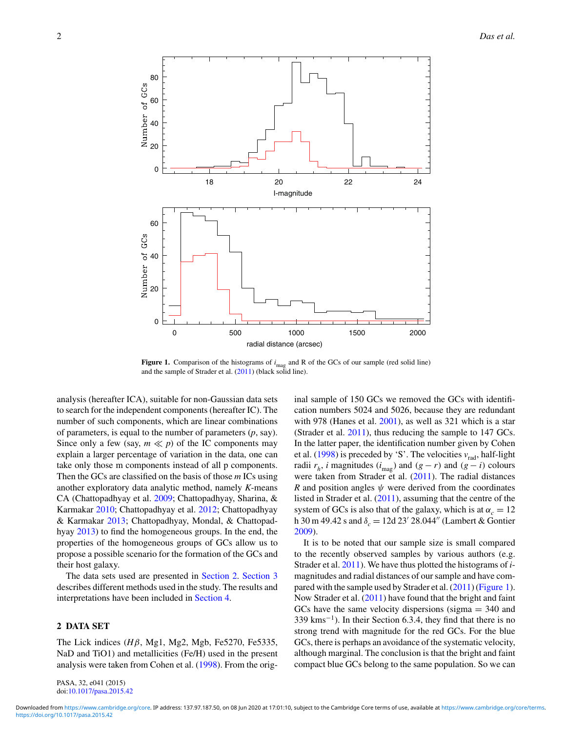

**Figure 1.** Comparison of the histograms of  $i_{\text{mag}}$  and R of the GCs of our sample (red solid line) and the sample of Strader et al. [\(2011\)](#page-9-0) (black solid line).

analysis (hereafter ICA), suitable for non-Gaussian data sets to search for the independent components (hereafter IC). The number of such components, which are linear combinations of parameters, is equal to the number of parameters (*p*, say). Since only a few (say,  $m \ll p$ ) of the IC components may explain a larger percentage of variation in the data, one can take only those m components instead of all p components. Then the GCs are classified on the basis of those *m* ICs using another exploratory data analytic method, namely *K*-means CA (Chattopadhyay et al. [2009;](#page-8-0) Chattopadhyay, Sharina, & Karmakar [2010;](#page-8-0) Chattopadhyay et al. [2012;](#page-8-0) Chattopadhyay & Karmakar [2013;](#page-8-0) Chattopadhyay, Mondal, & Chattopadhyay [2013\)](#page-8-0) to find the homogeneous groups. In the end, the properties of the homogeneous groups of GCs allow us to propose a possible scenario for the formation of the GCs and their host galaxy.

The data sets used are presented in Section 2. [Section 3](#page-2-0) describes different methods used in the study. The results and interpretations have been included in [Section 4.](#page-3-0)

# **2 DATA SET**

The Lick indices (*H*β, Mg1, Mg2, Mgb, Fe5270, Fe5335, NaD and TiO1) and metallicities (Fe/H) used in the present analysis were taken from Cohen et al. [\(1998\)](#page-8-0). From the orig-

PASA, 32, e041 (2015) doi[:10.1017/pasa.2015.42](http://dx.doi.org/10.1017/pasa.2015.42) inal sample of 150 GCs we removed the GCs with identification numbers 5024 and 5026, because they are redundant with 978 (Hanes et al. [2001\)](#page-8-0), as well as 321 which is a star (Strader et al. [2011\)](#page-9-0), thus reducing the sample to 147 GCs. In the latter paper, the identification number given by Cohen et al.  $(1998)$  is preceded by 'S'. The velocities  $v_{rad}$ , half-light radii  $r_h$ , *i* magnitudes ( $i_{\text{mag}}$ ) and ( $g - r$ ) and ( $g - i$ ) colours were taken from Strader et al. [\(2011\)](#page-9-0). The radial distances *R* and position angles  $\psi$  were derived from the coordinates listed in Strader et al. [\(2011\)](#page-9-0), assuming that the centre of the system of GCs is also that of the galaxy, which is at  $\alpha_c = 12$ h 30 m 49.42 s and  $\delta_c = 12d 23' 28.044''$  (Lambert & Gontier [2009\)](#page-8-0).

It is to be noted that our sample size is small compared to the recently observed samples by various authors (e.g. Strader et al. [2011\)](#page-9-0). We have thus plotted the histograms of *i*magnitudes and radial distances of our sample and have compared with the sample used by Strader et al. [\(2011\)](#page-9-0) (Figure 1). Now Strader et al. [\(2011\)](#page-9-0) have found that the bright and faint GCs have the same velocity dispersions (sigma  $=$  340 and  $339 \text{ km s}^{-1}$ ). In their Section 6.3.4, they find that there is no strong trend with magnitude for the red GCs. For the blue GCs, there is perhaps an avoidance of the systematic velocity, although marginal. The conclusion is that the bright and faint compact blue GCs belong to the same population. So we can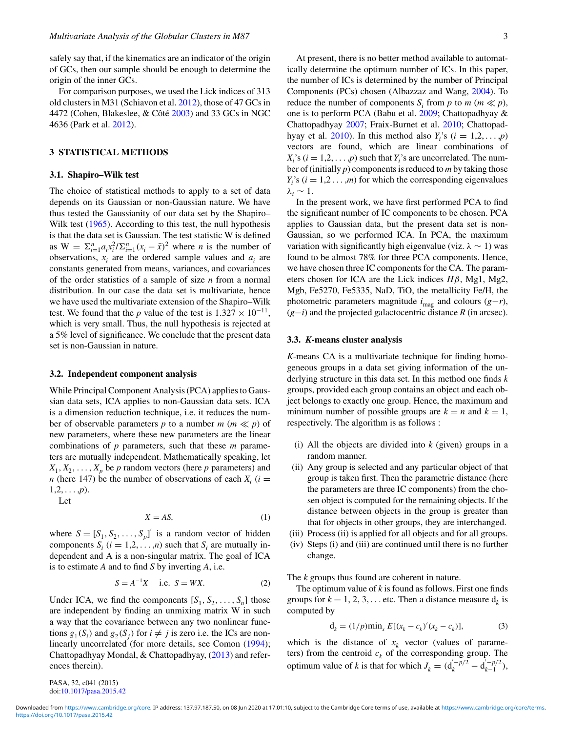<span id="page-2-0"></span>safely say that, if the kinematics are an indicator of the origin of GCs, then our sample should be enough to determine the origin of the inner GCs.

For comparison purposes, we used the Lick indices of 313 old clusters in M31 (Schiavon et al. [2012\)](#page-9-0), those of 47 GCs in 4472 (Cohen, Blakeslee, & Côté [2003\)](#page-8-0) and 33 GCs in NGC 4636 (Park et al. [2012\)](#page-9-0).

## **3 STATISTICAL METHODS**

#### **3.1. Shapiro–Wilk test**

The choice of statistical methods to apply to a set of data depends on its Gaussian or non-Gaussian nature. We have thus tested the Gaussianity of our data set by the Shapiro– Wilk test [\(1965\)](#page-9-0). According to this test, the null hypothesis is that the data set is Gaussian. The test statistic W is defined as  $W = \sum_{i=1}^{n} a_i x_i^2 / \sum_{i=1}^{n} (x_i - \bar{x})^2$  where *n* is the number of observations,  $x_i$  are the ordered sample values and  $a_i$  are constants generated from means, variances, and covariances of the order statistics of a sample of size *n* from a normal distribution. In our case the data set is multivariate, hence we have used the multivariate extension of the Shapiro–Wilk test. We found that the *p* value of the test is  $1.327 \times 10^{-11}$ , which is very small. Thus, the null hypothesis is rejected at a 5% level of significance. We conclude that the present data set is non-Gaussian in nature.

#### **3.2. Independent component analysis**

While Principal Component Analysis (PCA) applies to Gaussian data sets, ICA applies to non-Gaussian data sets. ICA is a dimension reduction technique, i.e. it reduces the number of observable parameters *p* to a number  $m$  ( $m \ll p$ ) of new parameters, where these new parameters are the linear combinations of *p* parameters, such that these *m* parameters are mutually independent. Mathematically speaking, let  $X_1, X_2, \ldots, X_p$  be *p* random vectors (here *p* parameters) and *n* (here 147) be the number of observations of each  $X_i$  ( $i =$  $1, 2, \ldots, p$ .

Let

$$
X = AS,\tag{1}
$$

where  $S = [S_1, S_2, \dots, S_p]$  is a random vector of hidden components  $S_i$  ( $i = 1, 2, \ldots, n$ ) such that  $S_i$  are mutually independent and A is a non-singular matrix. The goal of ICA is to estimate *A* and to find *S* by inverting *A*, i.e.

$$
S = A^{-1}X
$$
 i.e.  $S = WX$ . (2)

Under ICA, we find the components  $[S_1, S_2, \ldots, S_n]$  those are independent by finding an unmixing matrix W in such a way that the covariance between any two nonlinear functions  $g_1(S_i)$  and  $g_2(S_i)$  for  $i \neq j$  is zero i.e. the ICs are nonlinearly uncorrelated (for more details, see Comon [\(1994\)](#page-8-0); Chattopadhyay Mondal, & Chattopadhyay, [\(2013\)](#page-8-0) and references therein).

At present, there is no better method available to automatically determine the optimum number of ICs. In this paper, the number of ICs is determined by the number of Principal Components (PCs) chosen (Albazzaz and Wang, [2004\)](#page-8-0). To reduce the number of components  $S_i$  from  $p$  to  $m \ll p$ , one is to perform PCA (Babu et al. [2009;](#page-8-0) Chattopadhyay & Chattopadhyay [2007;](#page-8-0) Fraix-Burnet et al. [2010;](#page-8-0) Chattopad-hyay et al. [2010\)](#page-8-0). In this method also  $Y_i$ 's ( $i = 1, 2, ..., p$ ) vectors are found, which are linear combinations of  $X_i$ 's ( $i = 1, 2, \dots, p$ ) such that  $Y_i$ 's are uncorrelated. The number of (initially *p*) components is reduced to *m* by taking those  $Y_i$ 's ( $i = 1, 2, ..., m$ ) for which the corresponding eigenvalues  $λ<sub>i</sub> ∼ 1$ .

In the present work, we have first performed PCA to find the significant number of IC components to be chosen. PCA applies to Gaussian data, but the present data set is non-Gaussian, so we performed ICA. In PCA, the maximum variation with significantly high eigenvalue (viz.  $\lambda \sim 1$ ) was found to be almost 78% for three PCA components. Hence, we have chosen three IC components for the CA. The parameters chosen for ICA are the Lick indices *H*β, Mg1, Mg2, Mgb, Fe5270, Fe5335, NaD, TiO, the metallicity Fe/H, the photometric parameters magnitude  $i_{\text{mag}}$  and colours ( $g-r$ ), (*g*−*i*) and the projected galactocentric distance *R* (in arcsec).

### **3.3.** *K***-means cluster analysis**

*K*-means CA is a multivariate technique for finding homogeneous groups in a data set giving information of the underlying structure in this data set. In this method one finds *k* groups, provided each group contains an object and each object belongs to exactly one group. Hence, the maximum and minimum number of possible groups are  $k = n$  and  $k = 1$ , respectively. The algorithm is as follows :

- (i) All the objects are divided into *k* (given) groups in a random manner.
- (ii) Any group is selected and any particular object of that group is taken first. Then the parametric distance (here the parameters are three IC components) from the chosen object is computed for the remaining objects. If the distance between objects in the group is greater than that for objects in other groups, they are interchanged.
- (iii) Process (ii) is applied for all objects and for all groups.
- (iv) Steps (i) and (iii) are continued until there is no further change.

The *k* groups thus found are coherent in nature.

The optimum value of *k* is found as follows. First one finds groups for  $k = 1, 2, 3, \dots$  etc. Then a distance measure  $d_k$  is computed by

$$
\mathbf{d}_k = (1/p)\min_x E[(x_k - c_k)'(x_k - c_k)],\tag{3}
$$

which is the distance of  $x_k$  vector (values of parameters) from the centroid  $c_k$  of the corresponding group. The optimum value of *k* is that for which  $J_k = (d_k^{(-p/2)} - d_{k-1}^{(-p/2)})$ ,

PASA, 32, e041 (2015) doi[:10.1017/pasa.2015.42](http://dx.doi.org/10.1017/pasa.2015.42)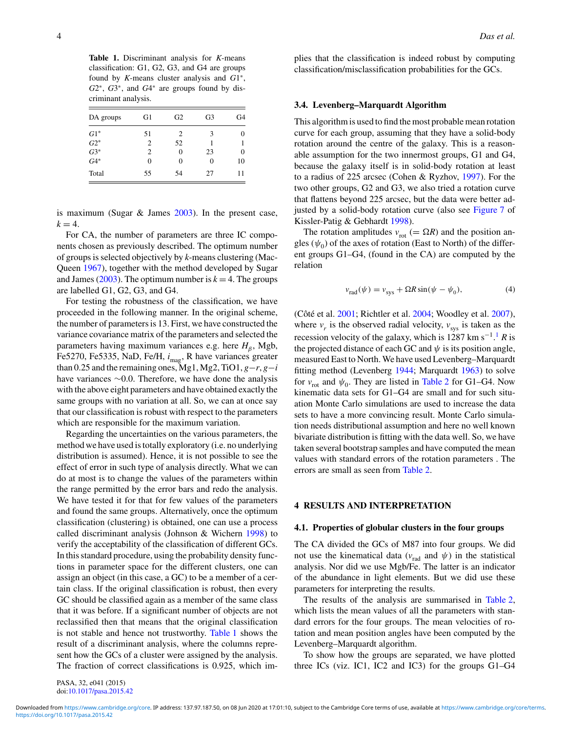<span id="page-3-0"></span>**Table 1.** Discriminant analysis for *K*-means classification: G1, G2, G3, and G4 are groups found by *K*-means cluster analysis and *G*1∗, *G*2∗, *G*3∗, and *G*4<sup>∗</sup> are groups found by discriminant analysis.

| DA groups | G1 | G <sub>2</sub> | G <sub>3</sub> | G <sub>4</sub> |
|-----------|----|----------------|----------------|----------------|
| $G1^*$    | 51 | 2              | 3              | 0              |
| $G2^*$    | 2  | 52             |                |                |
| $G3*$     | 2  | 0              | 23             | 0              |
| $G4*$     | 0  | 0              | 0              | 10             |
| Total     | 55 | 54             | 27             |                |

is maximum (Sugar & James [2003\)](#page-9-0). In the present case,  $k = 4$ .

For CA, the number of parameters are three IC components chosen as previously described. The optimum number of groups is selected objectively by *k*-means clustering (Mac-Queen [1967\)](#page-8-0), together with the method developed by Sugar and James [\(2003\)](#page-9-0). The optimum number is  $k = 4$ . The groups are labelled G1, G2, G3, and G4.

For testing the robustness of the classification, we have proceeded in the following manner. In the original scheme, the number of parameters is 13. First, we have constructed the variance covariance matrix of the parameters and selected the parameters having maximum variances e.g. here  $H_\beta$ , Mgb, Fe5270, Fe5335, NaD, Fe/H,  $i_{\text{mas}}$ , R have variances greater than 0.25 and the remaining ones, Mg1, Mg2, TiO1,  $g-r$ ,  $g-i$ have variances ∼0.0. Therefore, we have done the analysis with the above eight parameters and have obtained exactly the same groups with no variation at all. So, we can at once say that our classification is robust with respect to the parameters which are responsible for the maximum variation.

Regarding the uncertainties on the various parameters, the method we have used is totally exploratory (i.e. no underlying distribution is assumed). Hence, it is not possible to see the effect of error in such type of analysis directly. What we can do at most is to change the values of the parameters within the range permitted by the error bars and redo the analysis. We have tested it for that for few values of the parameters and found the same groups. Alternatively, once the optimum classification (clustering) is obtained, one can use a process called discriminant analysis (Johnson & Wichern [1998\)](#page-8-0) to verify the acceptability of the classification of different GCs. In this standard procedure, using the probability density functions in parameter space for the different clusters, one can assign an object (in this case, a GC) to be a member of a certain class. If the original classification is robust, then every GC should be classified again as a member of the same class that it was before. If a significant number of objects are not reclassified then that means that the original classification is not stable and hence not trustworthy. Table 1 shows the result of a discriminant analysis, where the columns represent how the GCs of a cluster were assigned by the analysis. The fraction of correct classifications is 0.925, which implies that the classification is indeed robust by computing classification/misclassification probabilities for the GCs.

### **3.4. Levenberg–Marquardt Algorithm**

This algorithm is used to find the most probable mean rotation curve for each group, assuming that they have a solid-body rotation around the centre of the galaxy. This is a reasonable assumption for the two innermost groups, G1 and G4, because the galaxy itself is in solid-body rotation at least to a radius of 225 arcsec (Cohen & Ryzhov, [1997\)](#page-8-0). For the two other groups, G2 and G3, we also tried a rotation curve that flattens beyond 225 arcsec, but the data were better adjusted by a solid-body rotation curve (also see [Figure 7](#page-5-0) of Kissler-Patig & Gebhardt [1998\)](#page-8-0).

The rotation amplitudes  $v_{\text{rot}}$  (=  $\Omega R$ ) and the position angles  $(\psi_0)$  of the axes of rotation (East to North) of the different groups G1–G4, (found in the CA) are computed by the relation

$$
v_{\text{rad}}(\psi) = v_{\text{sys}} + \Omega R \sin(\psi - \psi_0),\tag{4}
$$

(Côté et al. [2001;](#page-8-0) Richtler et al. [2004;](#page-9-0) Woodley et al. [2007\)](#page-9-0), where  $v_r$  is the observed radial velocity,  $v_{\text{sys}}$  is taken as the recession velocity of the galaxy, which is 1287 km s−1[.](#page-4-0) <sup>1</sup> *R* is the projected distance of each GC and  $\psi$  is its position angle, measured East to North. We have used Levenberg–Marquardt fitting method (Levenberg [1944;](#page-8-0) Marquardt [1963\)](#page-8-0) to solve for  $v_{\text{rot}}$  and  $\psi_0$ . They are listed in [Table 2](#page-4-0) for G1–G4. Now kinematic data sets for G1–G4 are small and for such situation Monte Carlo simulations are used to increase the data sets to have a more convincing result. Monte Carlo simulation needs distributional assumption and here no well known bivariate distribution is fitting with the data well. So, we have taken several bootstrap samples and have computed the mean values with standard errors of the rotation parameters . The errors are small as seen from [Table 2.](#page-4-0)

## **4 RESULTS AND INTERPRETATION**

#### **4.1. Properties of globular clusters in the four groups**

The CA divided the GCs of M87 into four groups. We did not use the kinematical data ( $v_{rad}$  and  $\psi$ ) in the statistical analysis. Nor did we use Mgb/Fe. The latter is an indicator of the abundance in light elements. But we did use these parameters for interpreting the results.

The results of the analysis are summarised in [Table 2,](#page-4-0) which lists the mean values of all the parameters with standard errors for the four groups. The mean velocities of rotation and mean position angles have been computed by the Levenberg–Marquardt algorithm.

To show how the groups are separated, we have plotted three ICs (viz. IC1, IC2 and IC3) for the groups G1–G4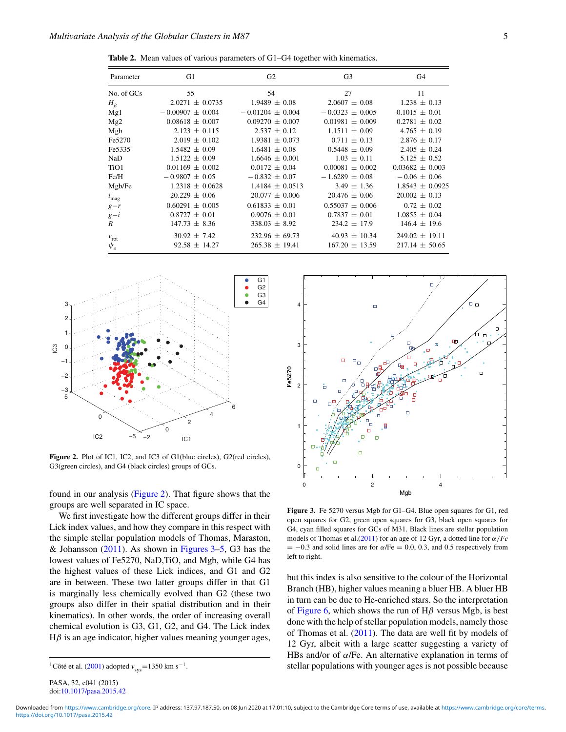<span id="page-4-0"></span>**Table 2.** Mean values of various parameters of G1–G4 together with kinematics.

| Parameter                     | G1                   | G2                   | G <sub>3</sub>      | G4                  |
|-------------------------------|----------------------|----------------------|---------------------|---------------------|
| No. of GCs                    | 55                   | 54                   | 27                  | 11                  |
| $H_{\beta}$                   | $2.0271 \pm 0.0735$  | $1.9489 \pm 0.08$    | $2.0607 \pm 0.08$   | $1.238 \pm 0.13$    |
| Mg1                           | $-0.00907 \pm 0.004$ | $-0.01204 \pm 0.004$ | $-0.0323 \pm 0.005$ | $0.1015 \pm 0.01$   |
| Mg2                           | $0.08618 \pm 0.007$  | $0.09270 \pm 0.007$  | $0.01981 \pm 0.009$ | $0.2781 + 0.02$     |
| Mgb                           | $2.123 \pm 0.115$    | $2.537 \pm 0.12$     | $1.1511 \pm 0.09$   | $4.765 \pm 0.19$    |
| Fe5270                        | $2.019 \pm 0.102$    | $1.9381 \pm 0.073$   | $0.711 \pm 0.13$    | $2.876 \pm 0.17$    |
| Fe5335                        | $1.5482 \pm 0.09$    | $1.6481 \pm 0.08$    | $0.5448 \pm 0.09$   | $2.405 \pm 0.24$    |
| NaD                           | $1.5122 \pm 0.09$    | $1.6646 + 0.001$     | $1.03 \pm 0.11$     | $5.125 \pm 0.52$    |
| TiO1                          | $0.01169 \pm 0.002$  | $0.0172 \pm 0.04$    | $0.00081 \pm 0.002$ | $0.03682 \pm 0.003$ |
| Fe/H                          | $-0.9807 \pm 0.05$   | $-0.832 \pm 0.07$    | $-1.6289 \pm 0.08$  | $-0.06 \pm 0.06$    |
| Mgb/Fe                        | $1.2318 \pm 0.0628$  | $1.4184 + 0.0513$    | $3.49 \pm 1.36$     | $1.8543 \pm 0.0925$ |
| $i_{\text{mag}}$              | $20.229 \pm 0.06$    | $20.077 \pm 0.006$   | $20.476 \pm 0.06$   | $20.002 \pm 0.13$   |
| $g-r$                         | $0.60291 \pm 0.005$  | $0.61833 \pm 0.01$   | $0.55037 \pm 0.006$ | $0.72 \pm 0.02$     |
| $g-i$                         | $0.8727 \pm 0.01$    | $0.9076 \pm 0.01$    | $0.7837 \pm 0.01$   | $1.0855 \pm 0.04$   |
| R                             | $147.73 \pm 8.36$    | $338.03 \pm 8.92$    | $234.2 \pm 17.9$    | $146.4 \pm 19.6$    |
| $v_{\rm rot}$                 | $30.92 \pm 7.42$     | $232.96 \pm 69.73$   | $40.93 \pm 10.34$   | $249.02 \pm 19.11$  |
| $\psi_{\scriptscriptstyle O}$ | $92.58 \pm 14.27$    | $265.38 \pm 19.41$   | $167.20 \pm 13.59$  | $217.14 \pm 50.65$  |



**Figure 2.** Plot of IC1, IC2, and IC3 of G1(blue circles), G2(red circles), G3(green circles), and G4 (black circles) groups of GCs.

found in our analysis (Figure 2). That figure shows that the groups are well separated in IC space.

We first investigate how the different groups differ in their Lick index values, and how they compare in this respect with the simple stellar population models of Thomas, Maraston, & Johansson  $(2011)$ . As shown in Figures 3[–5,](#page-5-0) G3 has the lowest values of Fe5270, NaD,TiO, and Mgb, while G4 has the highest values of these Lick indices, and G1 and G2 are in between. These two latter groups differ in that G1 is marginally less chemically evolved than G2 (these two groups also differ in their spatial distribution and in their kinematics). In other words, the order of increasing overall chemical evolution is G3, G1, G2, and G4. The Lick index  $H\beta$  is an age indicator, higher values meaning younger ages,



**Figure 3.** Fe 5270 versus Mgb for G1–G4. Blue open squares for G1, red open squares for G2, green open squares for G3, black open squares for G4, cyan filled squares for GCs of M31. Black lines are stellar population models of Thomas et al.[\(2011\)](#page-9-0) for an age of 12 Gyr, a dotted line for α/*Fe*  $= -0.3$  and solid lines are for  $\alpha$ /Fe = 0.0, 0.3, and 0.5 respectively from left to right.

but this index is also sensitive to the colour of the Horizontal Branch (HB), higher values meaning a bluer HB. A bluer HB in turn can be due to He-enriched stars. So the interpretation of [Figure 6,](#page-5-0) which shows the run of  $H\beta$  versus Mgb, is best done with the help of stellar population models, namely those of Thomas et al. [\(2011\)](#page-9-0). The data are well fit by models of 12 Gyr, albeit with a large scatter suggesting a variety of HBs and/or of  $\alpha$ /Fe. An alternative explanation in terms of stellar populations with younger ages is not possible because

<sup>&</sup>lt;sup>1</sup>Côté et al. ([2001\)](#page-8-0) adopted  $v_{\text{sys}}$ =1350 km s<sup>-1</sup>.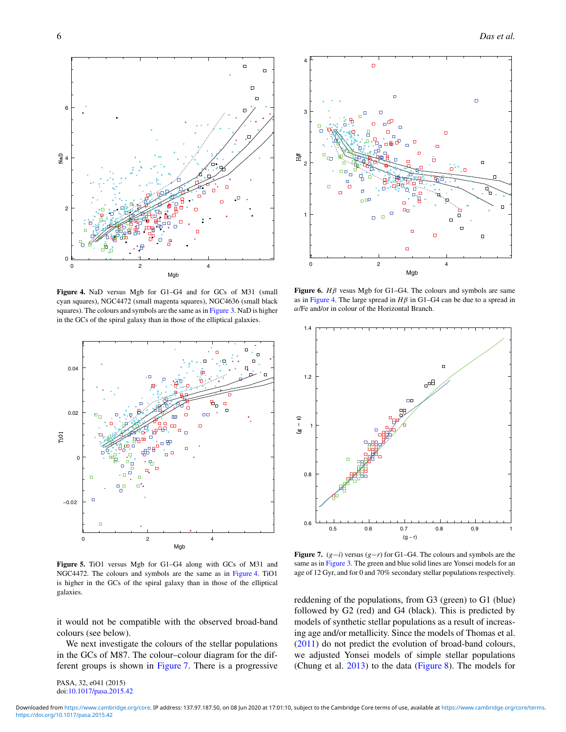$\mathfrak{c}$ 

2

 $44$ 

<span id="page-5-0"></span>6



Mgb

 $\Box$ 

0 2 4



**Figure 5.** TiO1 versus Mgb for G1–G4 along with GCs of M31 and NGC4472. The colours and symbols are the same as in Figure 4. TiO1 is higher in the GCs of the spiral galaxy than in those of the elliptical galaxies.

it would not be compatible with the observed broad-band colours (see below).

We next investigate the colours of the stellar populations in the GCs of M87. The colour–colour diagram for the different groups is shown in Figure 7. There is a progressive

PASA, 32, e041 (2015) doi[:10.1017/pasa.2015.42](http://dx.doi.org/10.1017/pasa.2015.42)



**Figure 6.** *H*β vesus Mgb for G1–G4. The colours and symbols are same as in Figure 4. The large spread in  $H\beta$  in G1–G4 can be due to a spread in α/Fe and/or in colour of the Horizontal Branch.



**Figure 7.** (*g*−*i*) versus (*g*−*r*) for G1–G4. The colours and symbols are the same as in [Figure 3.](#page-4-0) The green and blue solid lines are Yonsei models for an age of 12 Gyr, and for 0 and 70% secondary stellar populations respectively.

reddening of the populations, from G3 (green) to G1 (blue) followed by G2 (red) and G4 (black). This is predicted by models of synthetic stellar populations as a result of increasing age and/or metallicity. Since the models of Thomas et al. [\(2011\)](#page-9-0) do not predict the evolution of broad-band colours, we adjusted Yonsei models of simple stellar populations (Chung et al. [2013\)](#page-8-0) to the data [\(Figure 8\)](#page-6-0). The models for

<https://doi.org/10.1017/pasa.2015.42> Downloaded from [https://www.cambridge.org/core.](https://www.cambridge.org/core) IP address: 137.97.187.50, on 08 Jun 2020 at 17:01:10, subject to the Cambridge Core terms of use, available at <https://www.cambridge.org/core/terms>.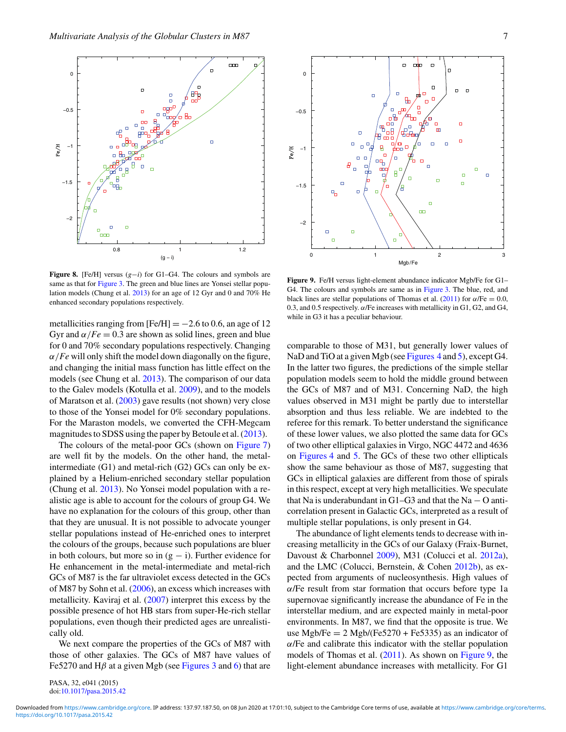<span id="page-6-0"></span>

**Figure 8.** [Fe/H] versus (*g*−*i*) for G1–G4. The colours and symbols are same as that for [Figure 3.](#page-4-0) The green and blue lines are Yonsei stellar population models (Chung et al. [2013\)](#page-8-0) for an age of 12 Gyr and 0 and 70% He enhanced secondary populations respectively.

metallicities ranging from  $[Fe/H] = -2.6$  to 0.6, an age of 12 Gyr and  $\alpha/Fe = 0.3$  are shown as solid lines, green and blue for 0 and 70% secondary populations respectively. Changing  $\alpha$ /*Fe* will only shift the model down diagonally on the figure, and changing the initial mass function has little effect on the models (see Chung et al. [2013\)](#page-8-0). The comparison of our data to the Galev models (Kotulla et al. [2009\)](#page-8-0), and to the models of Maratson et al. [\(2003\)](#page-8-0) gave results (not shown) very close to those of the Yonsei model for 0% secondary populations. For the Maraston models, we converted the CFH-Megcam magnitudes to SDSS using the paper by Betoule et al. [\(2013\)](#page-8-0).

The colours of the metal-poor GCs (shown on [Figure 7\)](#page-5-0) are well fit by the models. On the other hand, the metalintermediate (G1) and metal-rich (G2) GCs can only be explained by a Helium-enriched secondary stellar population (Chung et al. [2013\)](#page-8-0). No Yonsei model population with a realistic age is able to account for the colours of group G4. We have no explanation for the colours of this group, other than that they are unusual. It is not possible to advocate younger stellar populations instead of He-enriched ones to interpret the colours of the groups, because such populations are bluer in both colours, but more so in  $(g - i)$ . Further evidence for He enhancement in the metal-intermediate and metal-rich GCs of M87 is the far ultraviolet excess detected in the GCs of M87 by Sohn et al. [\(2006\)](#page-9-0), an excess which increases with metallicity. Kaviraj et al. [\(2007\)](#page-8-0) interpret this excess by the possible presence of hot HB stars from super-He-rich stellar populations, even though their predicted ages are unrealistically old.

We next compare the properties of the GCs of M87 with those of other galaxies. The GCs of M87 have values of Fe5270 and H $\beta$  at a given Mgb (see [Figures 3](#page-4-0) and [6\)](#page-5-0) that are

PASA, 32, e041 (2015) doi[:10.1017/pasa.2015.42](http://dx.doi.org/10.1017/pasa.2015.42)



**Figure 9.** Fe/H versus light-element abundance indicator Mgb/Fe for G1– G4. The colours and symbols are same as in [Figure 3.](#page-4-0) The blue, red, and black lines are stellar populations of Thomas et al. [\(2011\)](#page-9-0) for  $\alpha$ /Fe = 0.0, 0.3, and 0.5 respectively.  $\alpha$ /Fe increases with metallicity in G1, G2, and G4, while in G3 it has a peculiar behaviour.

comparable to those of M31, but generally lower values of NaD and TiO at a given Mgb (see [Figures 4](#page-5-0) and [5\)](#page-5-0), except G4. In the latter two figures, the predictions of the simple stellar population models seem to hold the middle ground between the GCs of M87 and of M31. Concerning NaD, the high values observed in M31 might be partly due to interstellar absorption and thus less reliable. We are indebted to the referee for this remark. To better understand the significance of these lower values, we also plotted the same data for GCs of two other elliptical galaxies in Virgo, NGC 4472 and 4636 on [Figures 4](#page-5-0) and [5.](#page-5-0) The GCs of these two other ellipticals show the same behaviour as those of M87, suggesting that GCs in elliptical galaxies are different from those of spirals in this respect, except at very high metallicities. We speculate that Na is underabundant in G1–G3 and that the Na  $-$  O anticorrelation present in Galactic GCs, interpreted as a result of multiple stellar populations, is only present in G4.

The abundance of light elements tends to decrease with increasing metallicity in the GCs of our Galaxy (Fraix-Burnet, Davoust & Charbonnel [2009\)](#page-8-0), M31 (Colucci et al. [2012a\)](#page-8-0), and the LMC (Colucci, Bernstein, & Cohen [2012b\)](#page-8-0), as expected from arguments of nucleosynthesis. High values of α/Fe result from star formation that occurs before type 1a supernovae significantly increase the abundance of Fe in the interstellar medium, and are expected mainly in metal-poor environments. In M87, we find that the opposite is true. We use Mgb/Fe  $= 2$  Mgb/(Fe5270 + Fe5335) as an indicator of  $\alpha$ /Fe and calibrate this indicator with the stellar population models of Thomas et al. [\(2011\)](#page-9-0). As shown on Figure 9, the light-element abundance increases with metallicity. For G1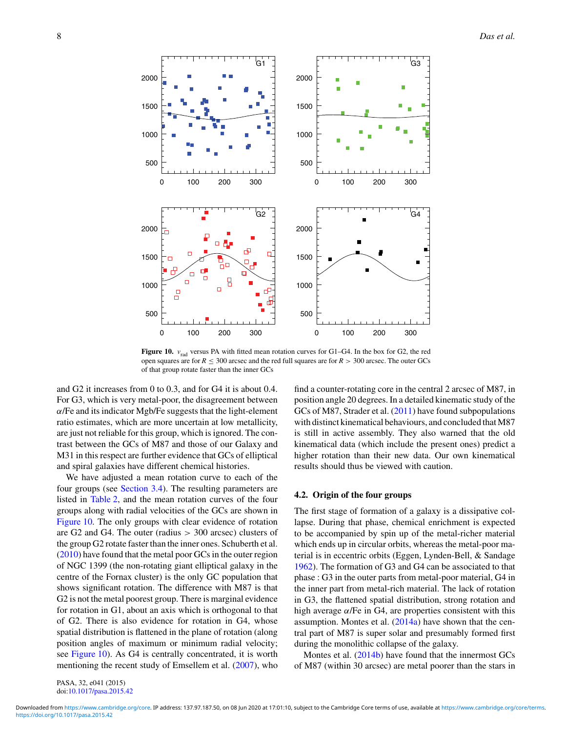

**Figure 10.**  $v_{rad}$  versus PA with fitted mean rotation curves for G1–G4. In the box for G2, the red open squares are for  $R \leq 300$  arcsec and the red full squares are for  $R > 300$  arcsec. The outer GCs of that group rotate faster than the inner GCs

and G2 it increases from 0 to 0.3, and for G4 it is about 0.4. For G3, which is very metal-poor, the disagreement between  $\alpha$ /Fe and its indicator Mgb/Fe suggests that the light-element ratio estimates, which are more uncertain at low metallicity, are just not reliable for this group, which is ignored. The contrast between the GCs of M87 and those of our Galaxy and M31 in this respect are further evidence that GCs of elliptical and spiral galaxies have different chemical histories.

We have adjusted a mean rotation curve to each of the four groups (see [Section 3.4\)](#page-3-0). The resulting parameters are listed in [Table 2,](#page-4-0) and the mean rotation curves of the four groups along with radial velocities of the GCs are shown in Figure 10. The only groups with clear evidence of rotation are G2 and G4. The outer (radius > 300 arcsec) clusters of the group G2 rotate faster than the inner ones. Schuberth et al. [\(2010\)](#page-9-0) have found that the metal poor GCs in the outer region of NGC 1399 (the non-rotating giant elliptical galaxy in the centre of the Fornax cluster) is the only GC population that shows significant rotation. The difference with M87 is that G2 is not the metal poorest group. There is marginal evidence for rotation in G1, about an axis which is orthogonal to that of G2. There is also evidence for rotation in G4, whose spatial distribution is flattened in the plane of rotation (along position angles of maximum or minimum radial velocity; see Figure 10). As G4 is centrally concentrated, it is worth mentioning the recent study of Emsellem et al. [\(2007\)](#page-8-0), who

find a counter-rotating core in the central 2 arcsec of M87, in position angle 20 degrees. In a detailed kinematic study of the GCs of M87, Strader et al. [\(2011\)](#page-9-0) have found subpopulations with distinct kinematical behaviours, and concluded that M87 is still in active assembly. They also warned that the old kinematical data (which include the present ones) predict a higher rotation than their new data. Our own kinematical results should thus be viewed with caution.

#### **4.2. Origin of the four groups**

The first stage of formation of a galaxy is a dissipative collapse. During that phase, chemical enrichment is expected to be accompanied by spin up of the metal-richer material which ends up in circular orbits, whereas the metal-poor material is in eccentric orbits (Eggen, Lynden-Bell, & Sandage [1962\)](#page-8-0). The formation of G3 and G4 can be associated to that phase : G3 in the outer parts from metal-poor material, G4 in the inner part from metal-rich material. The lack of rotation in G3, the flattened spatial distribution, strong rotation and high average  $\alpha$ /Fe in G4, are properties consistent with this assumption. Montes et al.  $(2014a)$  have shown that the central part of M87 is super solar and presumably formed first during the monolithic collapse of the galaxy.

Montes et al. [\(2014b\)](#page-9-0) have found that the innermost GCs of M87 (within 30 arcsec) are metal poorer than the stars in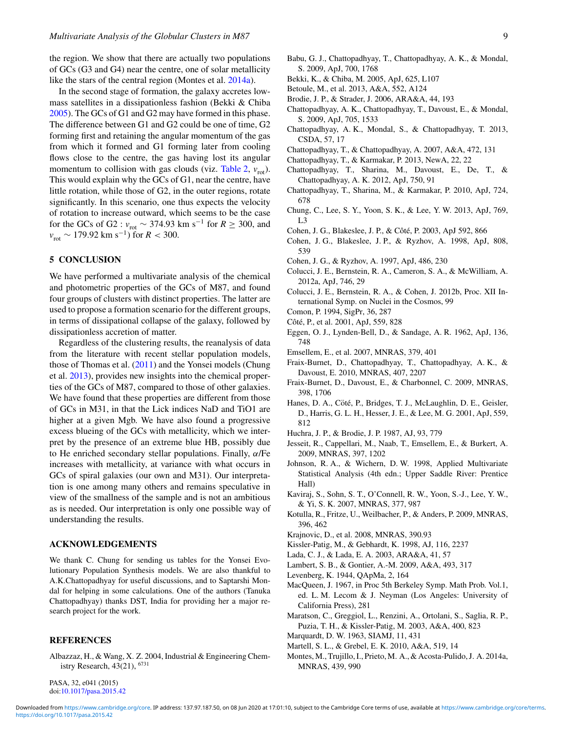<span id="page-8-0"></span>the region. We show that there are actually two populations of GCs (G3 and G4) near the centre, one of solar metallicity like the stars of the central region (Montes et al. 2014a).

In the second stage of formation, the galaxy accretes lowmass satellites in a dissipationless fashion (Bekki & Chiba 2005). The GCs of G1 and G2 may have formed in this phase. The difference between G1 and G2 could be one of time, G2 forming first and retaining the angular momentum of the gas from which it formed and G1 forming later from cooling flows close to the centre, the gas having lost its angular momentum to collision with gas clouds (viz. [Table 2,](#page-4-0)  $v_{\text{rot}}$ ). This would explain why the GCs of G1, near the centre, have little rotation, while those of G2, in the outer regions, rotate significantly. In this scenario, one thus expects the velocity of rotation to increase outward, which seems to be the case for the GCs of G2 :  $v_{\text{rot}} \sim 374.93 \text{ km s}^{-1}$  for  $R \ge 300$ , and  $v_{\text{rot}} \sim 179.92 \text{ km s}^{-1}$ ) for *R* < 300.

## **5 CONCLUSION**

We have performed a multivariate analysis of the chemical and photometric properties of the GCs of M87, and found four groups of clusters with distinct properties. The latter are used to propose a formation scenario for the different groups, in terms of dissipational collapse of the galaxy, followed by dissipationless accretion of matter.

Regardless of the clustering results, the reanalysis of data from the literature with recent stellar population models, those of Thomas et al. [\(2011\)](#page-9-0) and the Yonsei models (Chung et al. 2013), provides new insights into the chemical properties of the GCs of M87, compared to those of other galaxies. We have found that these properties are different from those of GCs in M31, in that the Lick indices NaD and TiO1 are higher at a given Mgb. We have also found a progressive excess blueing of the GCs with metallicity, which we interpret by the presence of an extreme blue HB, possibly due to He enriched secondary stellar populations. Finally,  $\alpha$ /Fe increases with metallicity, at variance with what occurs in GCs of spiral galaxies (our own and M31). Our interpretation is one among many others and remains speculative in view of the smallness of the sample and is not an ambitious as is needed. Our interpretation is only one possible way of understanding the results.

# **ACKNOWLEDGEMENTS**

We thank C. Chung for sending us tables for the Yonsei Evolutionary Population Synthesis models. We are also thankful to A.K.Chattopadhyay for useful discussions, and to Saptarshi Mondal for helping in some calculations. One of the authors (Tanuka Chattopadhyay) thanks DST, India for providing her a major research project for the work.

#### **REFERENCES**

Albazzaz, H., & Wang, X. Z. 2004, Industrial & Engineering Chemistry Research, 43(21), <sup>6731</sup>

- Babu, G. J., Chattopadhyay, T., Chattopadhyay, A. K., & Mondal, S. 2009, ApJ, 700, 1768
- Bekki, K., & Chiba, M. 2005, ApJ, 625, L107
- Betoule, M., et al. 2013, A&A, 552, A124
- Brodie, J. P., & Strader, J. 2006, ARA&A, 44, 193
- Chattopadhyay, A. K., Chattopadhyay, T., Davoust, E., & Mondal, S. 2009, ApJ, 705, 1533
- Chattopadhyay, A. K., Mondal, S., & Chattopadhyay, T. 2013, CSDA, 57, 17
- Chattopadhyay, T., & Chattopadhyay, A. 2007, A&A, 472, 131
- Chattopadhyay, T., & Karmakar, P. 2013, NewA, 22, 22
- Chattopadhyay, T., Sharina, M., Davoust, E., De, T., & Chattopadhyay, A. K. 2012, ApJ, 750, 91
- Chattopadhyay, T., Sharina, M., & Karmakar, P. 2010, ApJ, 724, 678
- Chung, C., Lee, S. Y., Yoon, S. K., & Lee, Y. W. 2013, ApJ, 769, L3
- Cohen, J. G., Blakeslee, J. P., & Côté, P. 2003, ApJ 592, 866
- Cohen, J. G., Blakeslee, J. P., & Ryzhov, A. 1998, ApJ, 808, 539
- Cohen, J. G., & Ryzhov, A. 1997, ApJ, 486, 230
- Colucci, J. E., Bernstein, R. A., Cameron, S. A., & McWilliam, A. 2012a, ApJ, 746, 29
- Colucci, J. E., Bernstein, R. A., & Cohen, J. 2012b, Proc. XII International Symp. on Nuclei in the Cosmos, 99
- Comon, P. 1994, SigPr, 36, 287
- Côté, P., et al. 2001, ApJ, 559, 828
- Eggen, O. J., Lynden-Bell, D., & Sandage, A. R. 1962, ApJ, 136, 748
- Emsellem, E., et al. 2007, MNRAS, 379, 401
- Fraix-Burnet, D., Chattopadhyay, T., Chattopadhyay, A. K., & Davoust, E. 2010, MNRAS, 407, 2207
- Fraix-Burnet, D., Davoust, E., & Charbonnel, C. 2009, MNRAS, 398, 1706
- Hanes, D. A., Cöté, P., Bridges, T. J., McLaughlin, D. E., Geisler, D., Harris, G. L. H., Hesser, J. E., & Lee, M. G. 2001, ApJ, 559, 812
- Huchra, J. P., & Brodie, J. P. 1987, AJ, 93, 779
- Jesseit, R., Cappellari, M., Naab, T., Emsellem, E., & Burkert, A. 2009, MNRAS, 397, 1202
- Johnson, R. A., & Wichern, D. W. 1998, Applied Multivariate Statistical Analysis (4th edn.; Upper Saddle River: Prentice Hall)
- Kaviraj, S., Sohn, S. T., O'Connell, R. W., Yoon, S.-J., Lee, Y. W., & Yi, S. K. 2007, MNRAS, 377, 987
- Kotulla, R., Fritze, U., Weilbacher, P., & Anders, P. 2009, MNRAS, 396, 462
- Krajnovic, D., et al. 2008, MNRAS, 390.93
- Kissler-Patig, M., & Gebhardt, K. 1998, AJ, 116, 2237
- Lada, C. J., & Lada, E. A. 2003, ARA&A, 41, 57
- Lambert, S. B., & Gontier, A.-M. 2009, A&A, 493, 317
- Levenberg, K. 1944, QApMa, 2, 164
- MacQueen, J. 1967, in Proc 5th Berkeley Symp. Math Prob. Vol.1, ed. L. M. Lecom & J. Neyman (Los Angeles: University of California Press), 281
- Maratson, C., Greggiol, L., Renzini, A., Ortolani, S., Saglia, R. P., Puzia, T. H., & Kissler-Patig, M. 2003, A&A, 400, 823
- Marquardt, D. W. 1963, SIAMJ, 11, 431
- Martell, S. L., & Grebel, E. K. 2010, A&A, 519, 14
- Montes, M., Trujillo, I., Prieto, M. A., & Acosta-Pulido, J. A. 2014a, MNRAS, 439, 990

PASA, 32, e041 (2015) doi[:10.1017/pasa.2015.42](http://dx.doi.org/10.1017/pasa.2015.42)